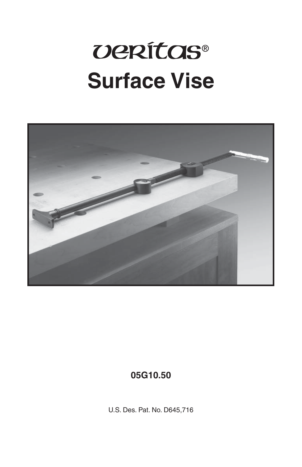# *UERÍTOS®* **Surface Vise**



#### 05G10.50

U.S. Des. Pat. No. D645,716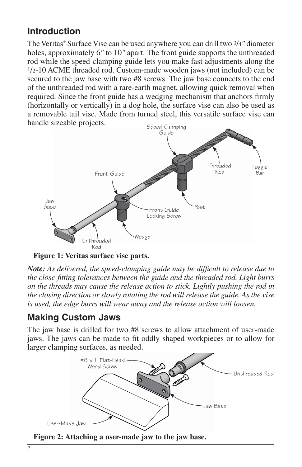## **Introduction**

The Veritas® Surface Vise can be used anywhere you can drill two 3/4*"* diameter holes, approximately 6*"* to 10*"* apart. The front guide supports the unthreaded rod while the speed-clamping guide lets you make fast adjustments along the 1/2-10 ACME threaded rod. Custom-made wooden jaws (not included) can be secured to the jaw base with two #8 screws. The jaw base connects to the end of the unthreaded rod with a rare-earth magnet, allowing quick removal when required. Since the front guide has a wedging mechanism that anchors firmly (horizontally or vertically) in a dog hole, the surface vise can also be used as a removable tail vise. Made from turned steel, this versatile surface vise can handle sizeable projects.



**Figure 1: Veritas surface vise parts.**

*Note:* As delivered, the speed-clamping guide may be difficult to release due to *the close-fi tting tolerances between the guide and the threaded rod. Light burrs on the threads may cause the release action to stick. Lightly pushing the rod in the closing direction or slowly rotating the rod will release the guide. As the vise is used, the edge burrs will wear away and the release action will loosen.*

#### **Making Custom Jaws**

The jaw base is drilled for two #8 screws to allow attachment of user-made jaws. The jaws can be made to fi t oddly shaped workpieces or to allow for larger clamping surfaces, as needed.



**Figure 2: Attaching a user-made jaw to the jaw base.**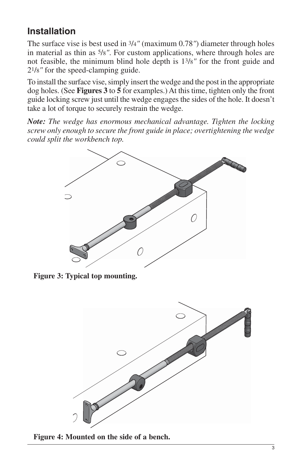## **Installation**

The surface vise is best used in 3/4*"* (maximum 0.78*"*) diameter through holes in material as thin as 5/8*"*. For custom applications, where through holes are not feasible, the minimum blind hole depth is 13/8*"* for the front guide and 21/8*"* for the speed-clamping guide.

To install the surface vise, simply insert the wedge and the post in the appropriate dog holes. (See **Figures 3** to **5** for examples.) At this time, tighten only the front guide locking screw just until the wedge engages the sides of the hole. It doesn't take a lot of torque to securely restrain the wedge.

*Note: The wedge has enormous mechanical advantage. Tighten the locking screw only enough to secure the front guide in place; overtightening the wedge could split the workbench top.*



**Figure 3: Typical top mounting.**



**Figure 4: Mounted on the side of a bench.**